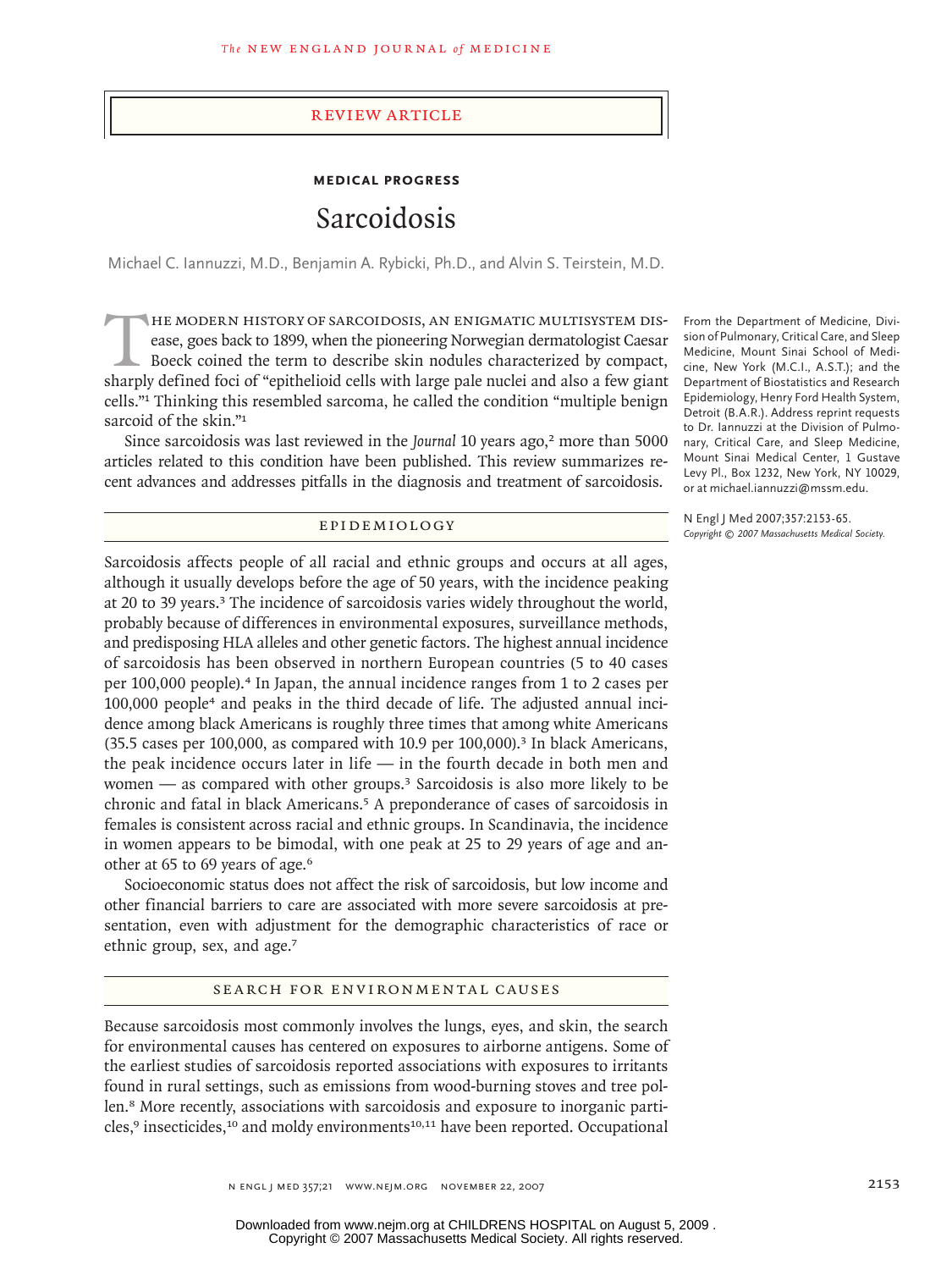### review article

# **Medical Progress**

# Sarcoidosis

Michael C. Iannuzzi, M.D., Benjamin A. Rybicki, Ph.D., and Alvin S. Teirstein, M.D.

HE MODERN HISTORY OF SARCOIDOSIS, AN ENIGMATIC MULTISYSTEM DIS-<br>ease, goes back to 1899, when the pioneering Norwegian dermatologist Caesar<br>Boeck coined the term to describe skin nodules characterized by compact,<br>sharply d ease, goes back to 1899, when the pioneering Norwegian dermatologist Caesar Boeck coined the term to describe skin nodules characterized by compact, sharply defined foci of "epithelioid cells with large pale nuclei and also a few giant cells."<sup>1</sup> Thinking this resembled sarcoma, he called the condition "multiple benign sarcoid of the skin."<sup>1</sup>

Since sarcoidosis was last reviewed in the *Journal* 10 years ago,<sup>2</sup> more than 5000 articles related to this condition have been published. This review summarizes recent advances and addresses pitfalls in the diagnosis and treatment of sarcoidosis.

# **EPIDEMIOLOGY**

Sarcoidosis affects people of all racial and ethnic groups and occurs at all ages, although it usually develops before the age of 50 years, with the incidence peaking at 20 to 39 years.<sup>3</sup> The incidence of sarcoidosis varies widely throughout the world, probably because of differences in environmental exposures, surveillance methods, and predisposing HLA alleles and other genetic factors. The highest annual incidence of sarcoidosis has been observed in northern European countries (5 to 40 cases per 100,000 people).<sup>4</sup> In Japan, the annual incidence ranges from 1 to 2 cases per 100,000 people<sup>4</sup> and peaks in the third decade of life. The adjusted annual incidence among black Americans is roughly three times that among white Americans (35.5 cases per 100,000, as compared with 10.9 per 100,000).<sup>3</sup> In black Americans, the peak incidence occurs later in life — in the fourth decade in both men and women  $-$  as compared with other groups.<sup>3</sup> Sarcoidosis is also more likely to be chronic and fatal in black Americans.<sup>5</sup> A preponderance of cases of sarcoidosis in females is consistent across racial and ethnic groups. In Scandinavia, the incidence in women appears to be bimodal, with one peak at 25 to 29 years of age and another at 65 to 69 years of age.<sup>6</sup>

Socioeconomic status does not affect the risk of sarcoidosis, but low income and other financial barriers to care are associated with more severe sarcoidosis at presentation, even with adjustment for the demographic characteristics of race or ethnic group, sex, and age.<sup>7</sup>

#### SEARCH FOR ENVIRONMENTAL CAUSES

Because sarcoidosis most commonly involves the lungs, eyes, and skin, the search for environmental causes has centered on exposures to airborne antigens. Some of the earliest studies of sarcoidosis reported associations with exposures to irritants found in rural settings, such as emissions from wood-burning stoves and tree pollen.<sup>8</sup> More recently, associations with sarcoidosis and exposure to inorganic particles,<sup>9</sup> insecticides,<sup>10</sup> and moldy environments<sup>10,11</sup> have been reported. Occupational

From the Department of Medicine, Division of Pulmonary, Critical Care, and Sleep Medicine, Mount Sinai School of Medicine, New York (M.C.I., A.S.T.); and the Department of Biostatistics and Research Epidemiology, Henry Ford Health System, Detroit (B.A.R.). Address reprint requests to Dr. Iannuzzi at the Division of Pulmonary, Critical Care, and Sleep Medicine, Mount Sinai Medical Center, 1 Gustave Levy Pl., Box 1232, New York, NY 10029, or at michael.iannuzzi@mssm.edu.

N Engl J Med 2007;357:2153-65. *Copyright © 2007 Massachusetts Medical Society.*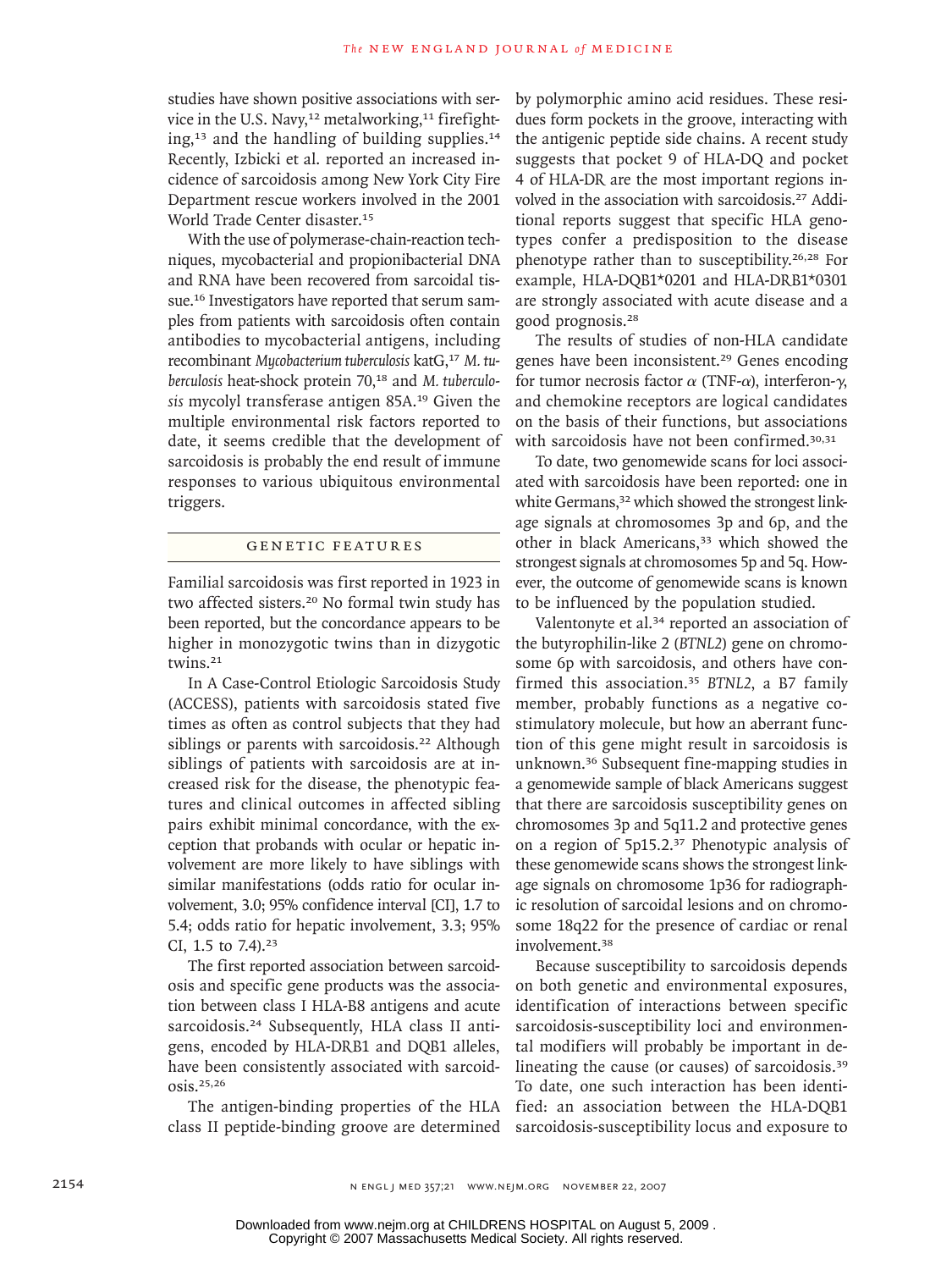studies have shown positive associations with service in the U.S. Navy, $12$  metalworking, $11$  firefighting,<sup>13</sup> and the handling of building supplies.<sup>14</sup> Recently, Izbicki et al. reported an increased incidence of sarcoidosis among New York City Fire Department rescue workers involved in the 2001 World Trade Center disaster.<sup>15</sup>

With the use of polymerase-chain-reaction techniques, mycobacterial and propionibacterial DNA and RNA have been recovered from sarcoidal tissue.<sup>16</sup> Investigators have reported that serum samples from patients with sarcoidosis often contain antibodies to mycobacterial antigens, including recombinant *Mycobacterium tuberculosis* katG,<sup>17</sup> M. tuberculosis heat-shock protein 70,<sup>18</sup> and *M. tuberculosis* mycolyl transferase antigen 85A.<sup>19</sup> Given the multiple environmental risk factors reported to date, it seems credible that the development of sarcoidosis is probably the end result of immune responses to various ubiquitous environmental triggers.

#### GENETIC FEATURES

Familial sarcoidosis was first reported in 1923 in two affected sisters.<sup>20</sup> No formal twin study has been reported, but the concordance appears to be higher in monozygotic twins than in dizygotic twins.<sup>21</sup>

In A Case-Control Etiologic Sarcoidosis Study (ACCESS), patients with sarcoidosis stated five times as often as control subjects that they had siblings or parents with sarcoidosis.<sup>22</sup> Although siblings of patients with sarcoidosis are at increased risk for the disease, the phenotypic features and clinical outcomes in affected sibling pairs exhibit minimal concordance, with the exception that probands with ocular or hepatic involvement are more likely to have siblings with similar manifestations (odds ratio for ocular involvement, 3.0; 95% confidence interval [CI], 1.7 to 5.4; odds ratio for hepatic involvement, 3.3; 95% CI, 1.5 to 7.4). $23$ 

The first reported association between sarcoidosis and specific gene products was the association between class I HLA-B8 antigens and acute sarcoidosis.<sup>24</sup> Subsequently, HLA class II antigens, encoded by HLA-DRB1 and DQB1 alleles, have been consistently associated with sarcoidosis.25,26

The antigen-binding properties of the HLA class II peptide-binding groove are determined

by polymorphic amino acid residues. These residues form pockets in the groove, interacting with the antigenic peptide side chains. A recent study suggests that pocket 9 of HLA-DQ and pocket 4 of HLA-DR are the most important regions involved in the association with sarcoidosis.<sup>27</sup> Additional reports suggest that specific HLA genotypes confer a predisposition to the disease phenotype rather than to susceptibility.26,28 For example, HLA-DQB1\*0201 and HLA-DRB1\*0301 are strongly associated with acute disease and a good prognosis.<sup>28</sup>

The results of studies of non-HLA candidate genes have been inconsistent.<sup>29</sup> Genes encoding for tumor necrosis factor α (TNF-α), interferon-γ, and chemokine receptors are logical candidates on the basis of their functions, but associations with sarcoidosis have not been confirmed.<sup>30,31</sup>

To date, two genomewide scans for loci associated with sarcoidosis have been reported: one in white Germans,<sup>32</sup> which showed the strongest linkage signals at chromosomes 3p and 6p, and the other in black Americans,<sup>33</sup> which showed the strongest signals at chromosomes 5p and 5q. However, the outcome of genomewide scans is known to be influenced by the population studied.

Valentonyte et al.<sup>34</sup> reported an association of the butyrophilin-like 2 (*BTNL2*) gene on chromosome 6p with sarcoidosis, and others have confirmed this association.<sup>35</sup> *BTNL2*, a B7 family member, probably functions as a negative costimulatory molecule, but how an aberrant function of this gene might result in sarcoidosis is unknown.<sup>36</sup> Subsequent fine-mapping studies in a genomewide sample of black Americans suggest that there are sarcoidosis susceptibility genes on chromosomes 3p and 5q11.2 and protective genes on a region of 5p15.2.<sup>37</sup> Phenotypic analysis of these genomewide scans shows the strongest linkage signals on chromosome 1p36 for radiographic resolution of sarcoidal lesions and on chromosome 18q22 for the presence of cardiac or renal involvement.<sup>38</sup>

Because susceptibility to sarcoidosis depends on both genetic and environmental exposures, identification of interactions between specific sarcoidosis-susceptibility loci and environmental modifiers will probably be important in delineating the cause (or causes) of sarcoidosis.<sup>39</sup> To date, one such interaction has been identified: an association between the HLA-DQB1 sarcoidosis-susceptibility locus and exposure to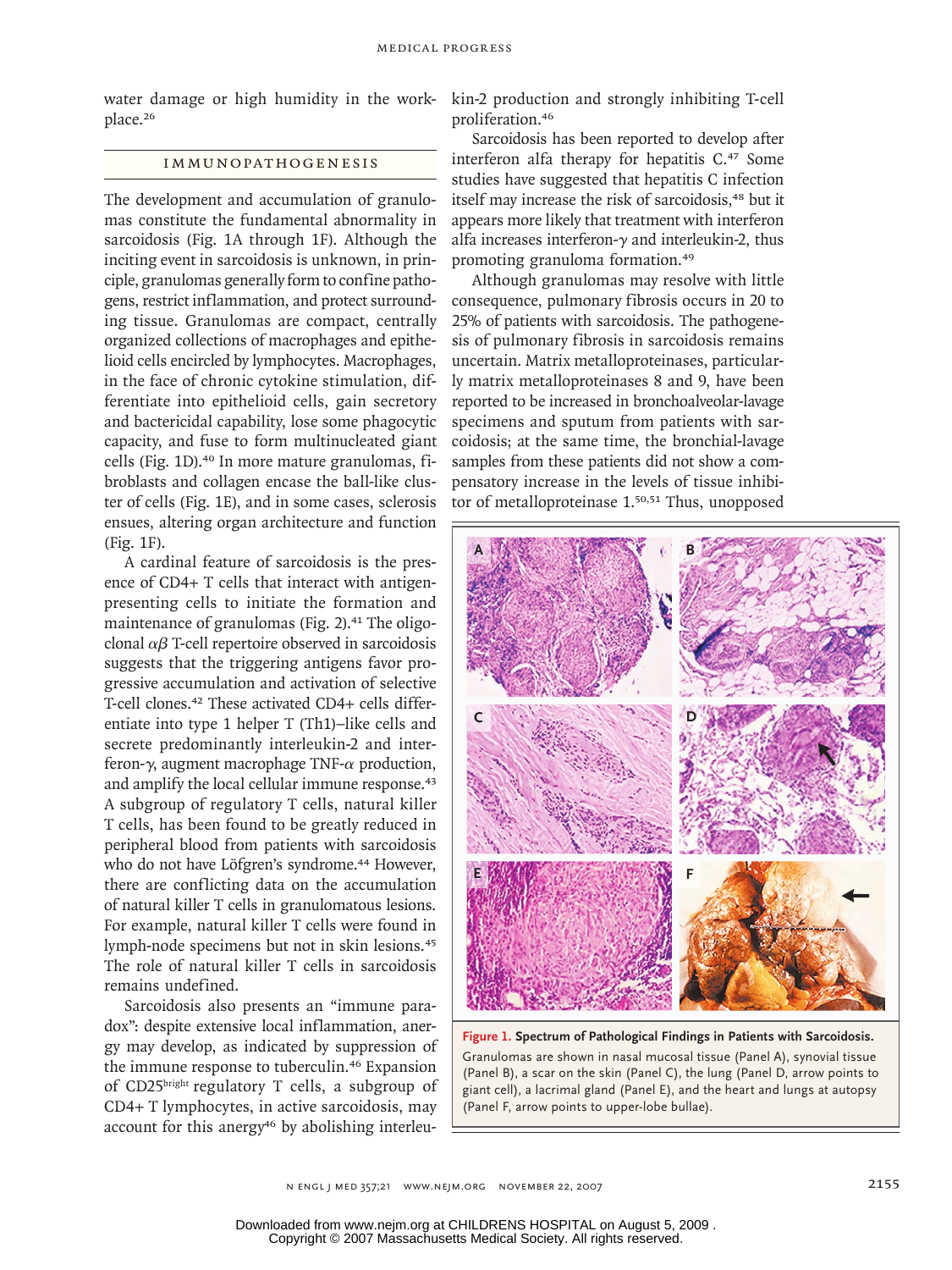place.<sup>26</sup>

# IMMUNOPATHO GENESIS

The development and accumulation of granulomas constitute the fundamental abnormality in sarcoidosis (Fig. 1A through 1F). Although the inciting event in sarcoidosis is unknown, in principle, granulomas generally form to confine pathogens, restrict inflammation, and protect surrounding tissue. Granulomas are compact, centrally organized collections of macrophages and epithelioid cells encircled by lymphocytes. Macrophages, in the face of chronic cytokine stimulation, differentiate into epithelioid cells, gain secretory and bactericidal capability, lose some phagocytic capacity, and fuse to form multinucleated giant cells (Fig. 1D).<sup>40</sup> In more mature granulomas, fibroblasts and collagen encase the ball-like cluster of cells (Fig. 1E), and in some cases, sclerosis ensues, altering organ architecture and function (Fig. 1F).

A cardinal feature of sarcoidosis is the presence of CD4+ T cells that interact with antigenpresenting cells to initiate the formation and maintenance of granulomas (Fig. 2).<sup>41</sup> The oligoclonal αβ T-cell repertoire observed in sarcoidosis suggests that the triggering antigens favor progressive accumulation and activation of selective T-cell clones.<sup>42</sup> These activated CD4+ cells differentiate into type 1 helper T (Th1)–like cells and secrete predominantly interleukin-2 and interferon-γ, augment macrophage TNF- $\alpha$  production, and amplify the local cellular immune response.<sup>43</sup> A subgroup of regulatory T cells, natural killer T cells, has been found to be greatly reduced in peripheral blood from patients with sarcoidosis who do not have Löfgren's syndrome.<sup>44</sup> However, there are conflicting data on the accumulation of natural killer T cells in granulomatous lesions. For example, natural killer T cells were found in lymph-node specimens but not in skin lesions.<sup>45</sup> The role of natural killer T cells in sarcoidosis remains undefined.

Sarcoidosis also presents an "immune paradox": despite extensive local inflammation, anergy may develop, as indicated by suppression of the immune response to tuberculin.<sup>46</sup> Expansion of CD25bright regulatory T cells, a subgroup of CD4+ T lymphocytes, in active sarcoidosis, may account for this anergy<sup>46</sup> by abolishing interleu-

water damage or high humidity in the work-kin-2 production and strongly inhibiting T-cell proliferation.<sup>46</sup>

> Sarcoidosis has been reported to develop after interferon alfa therapy for hepatitis C.<sup>47</sup> Some studies have suggested that hepatitis C infection itself may increase the risk of sarcoidosis,<sup>48</sup> but it appears more likely that treatment with interferon alfa increases interferon-γ and interleukin-2, thus promoting granuloma formation.<sup>49</sup>

> Although granulomas may resolve with little consequence, pulmonary fibrosis occurs in 20 to 25% of patients with sarcoidosis. The pathogenesis of pulmonary fibrosis in sarcoidosis remains uncertain. Matrix metalloproteinases, particularly matrix metalloproteinases 8 and 9, have been reported to be increased in bronchoalveolar-lavage specimens and sputum from patients with sarcoidosis; at the same time, the bronchial-lavage samples from these patients did not show a compensatory increase in the levels of tissue inhibitor of metalloproteinase 1.50,51 Thus, unopposed



 $\frac{1}{2}$  $\frac{1}{2}$ giant cell), a lacrimal gland (Panel E), and the heart and lungs at autopsy CASE  $($ Panel F, arrow points to upper-lobe bullae). **Figure 1. Spectrum of Pathological Findings in Patients with Sarcoidosis.** Granulomas are shown in nasal mucosal tissue (Panel A), synovial tissue (Panel B), a scar on the skin (Panel C), the lung (Panel D, arrow points to

EMail Line

 $\overline{\phantom{a}}$ 

Revised

n engl j med 357;21 www.nejm.org november 22, 2007 2155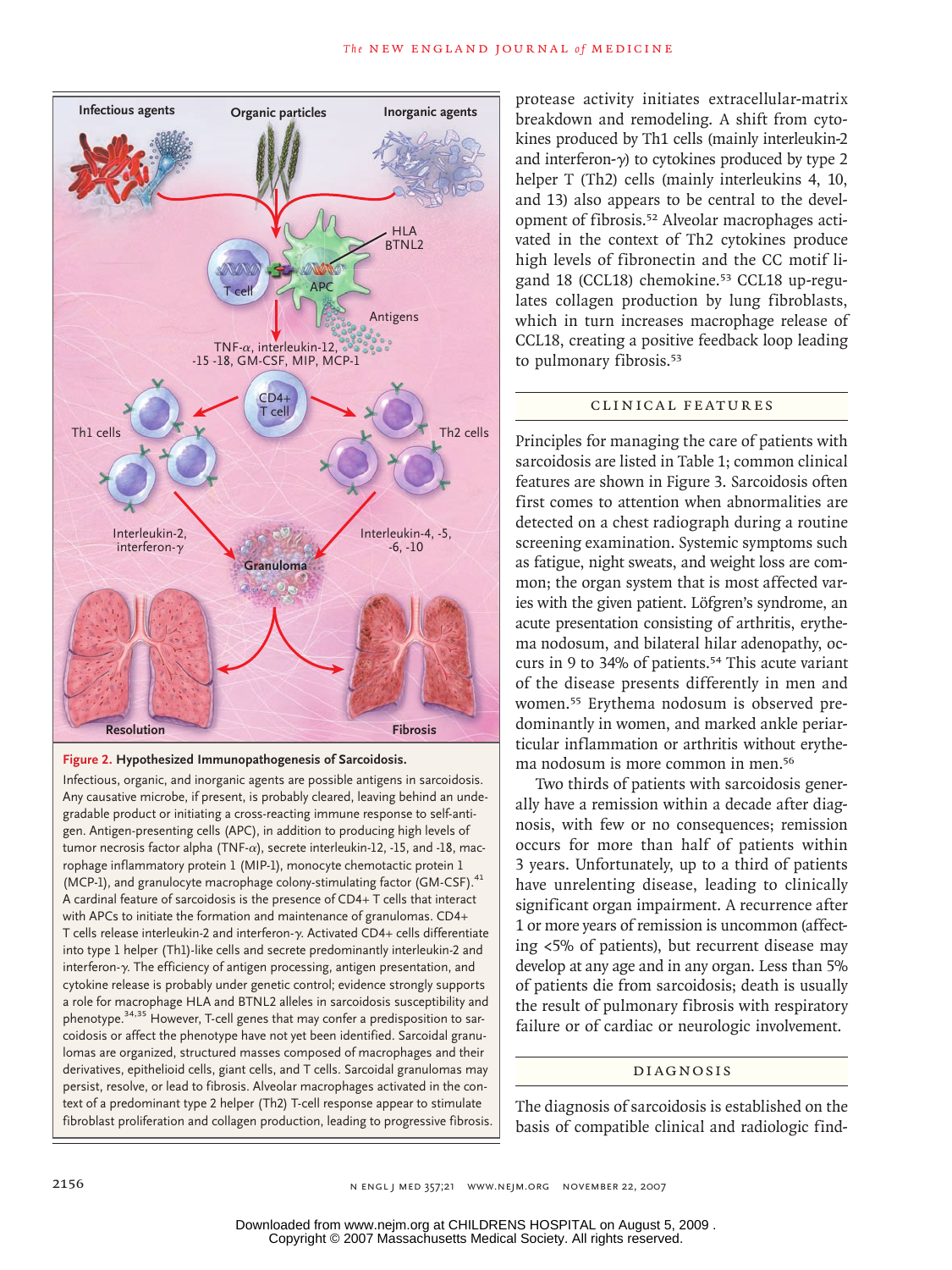

#### **Figure 2. Hypothesized Immunopathogenesis of Sarcoidosis.**

Infectious, organic, and inorganic agents are possible antigens in sarcoidosis. Any causative microbe, if present, is probably cleared, leaving behind an undegradable product or initiating a cross-reacting immune response to self-antigen. Antigen-presenting cells (APC), in addition to producing high levels of tumor necrosis factor alpha (TNF-α), secrete interleukin-12, -15, and -18, macrophage inflammatory protein 1 (MIP-1), monocyte chemotactic protein 1 (MCP-1), and granulocyte macrophage colony-stimulating factor (GM-CSF).<sup>41</sup> A cardinal feature of sarcoidosis is the presence of CD4+ T cells that interact with APCs to initiate the formation and maintenance of granulomas. CD4+ T cells release interleukin-2 and interferon-γ. Activated CD4+ cells differentiate into type 1 helper (Th1)-like cells and secrete predominantly interleukin-2 and interferon-γ. The efficiency of antigen processing, antigen presentation, and cytokine release is probably under genetic control; evidence strongly supports a role for macrophage HLA and BTNL2 alleles in sarcoidosis susceptibility and phenotype.<sup>34,35</sup> However, T-cell genes that may confer a predisposition to sarcoidosis or affect the phenotype have not yet been identified. Sarcoidal granulomas are organized, structured masses composed of macrophages and their derivatives, epithelioid cells, giant cells, and T cells. Sarcoidal granulomas may persist, resolve, or lead to fibrosis. Alveolar macrophages activated in the context of a predominant type 2 helper (Th2) T-cell response appear to stimulate fibroblast proliferation and collagen production, leading to progressive fibrosis. protease activity initiates extracellular-matrix breakdown and remodeling. A shift from cytokines produced by Th1 cells (mainly interleukin-2 and interferon-γ) to cytokines produced by type 2 helper T (Th2) cells (mainly interleukins 4, 10, and 13) also appears to be central to the development of fibrosis.<sup>52</sup> Alveolar macrophages activated in the context of Th2 cytokines produce high levels of fibronectin and the CC motif ligand 18 (CCL18) chemokine.<sup>53</sup> CCL18 up-regulates collagen production by lung fibroblasts, which in turn increases macrophage release of CCL18, creating a positive feedback loop leading to pulmonary fibrosis.<sup>53</sup>

# CLINICAL FEATURES

Principles for managing the care of patients with sarcoidosis are listed in Table 1; common clinical features are shown in Figure 3. Sarcoidosis often first comes to attention when abnormalities are detected on a chest radiograph during a routine screening examination. Systemic symptoms such as fatigue, night sweats, and weight loss are common; the organ system that is most affected varies with the given patient. Löfgren's syndrome, an acute presentation consisting of arthritis, erythema nodosum, and bilateral hilar adenopathy, occurs in 9 to 34% of patients.<sup>54</sup> This acute variant of the disease presents differently in men and women.<sup>55</sup> Erythema nodosum is observed predominantly in women, and marked ankle periarticular inflammation or arthritis without erythema nodosum is more common in men.<sup>56</sup>

Two thirds of patients with sarcoidosis generally have a remission within a decade after diagnosis, with few or no consequences; remission occurs for more than half of patients within 3 years. Unfortunately, up to a third of patients have unrelenting disease, leading to clinically significant organ impairment. A recurrence after 1 or more years of remission is uncommon (affecting <5% of patients), but recurrent disease may develop at any age and in any organ. Less than 5% of patients die from sarcoidosis; death is usually the result of pulmonary fibrosis with respiratory failure or of cardiac or neurologic involvement.

# DI AGNOSIS

10/29/07

Version 3

The diagnosis of sarcoidosis is established on the basis of compatible clinical and radiologic find-

Downloaded from www.nejm.org at CHILDRENS HOSPITAL on August 5, 2009. Copyright © 2007 Massachusetts Medical Society. All rights reserved.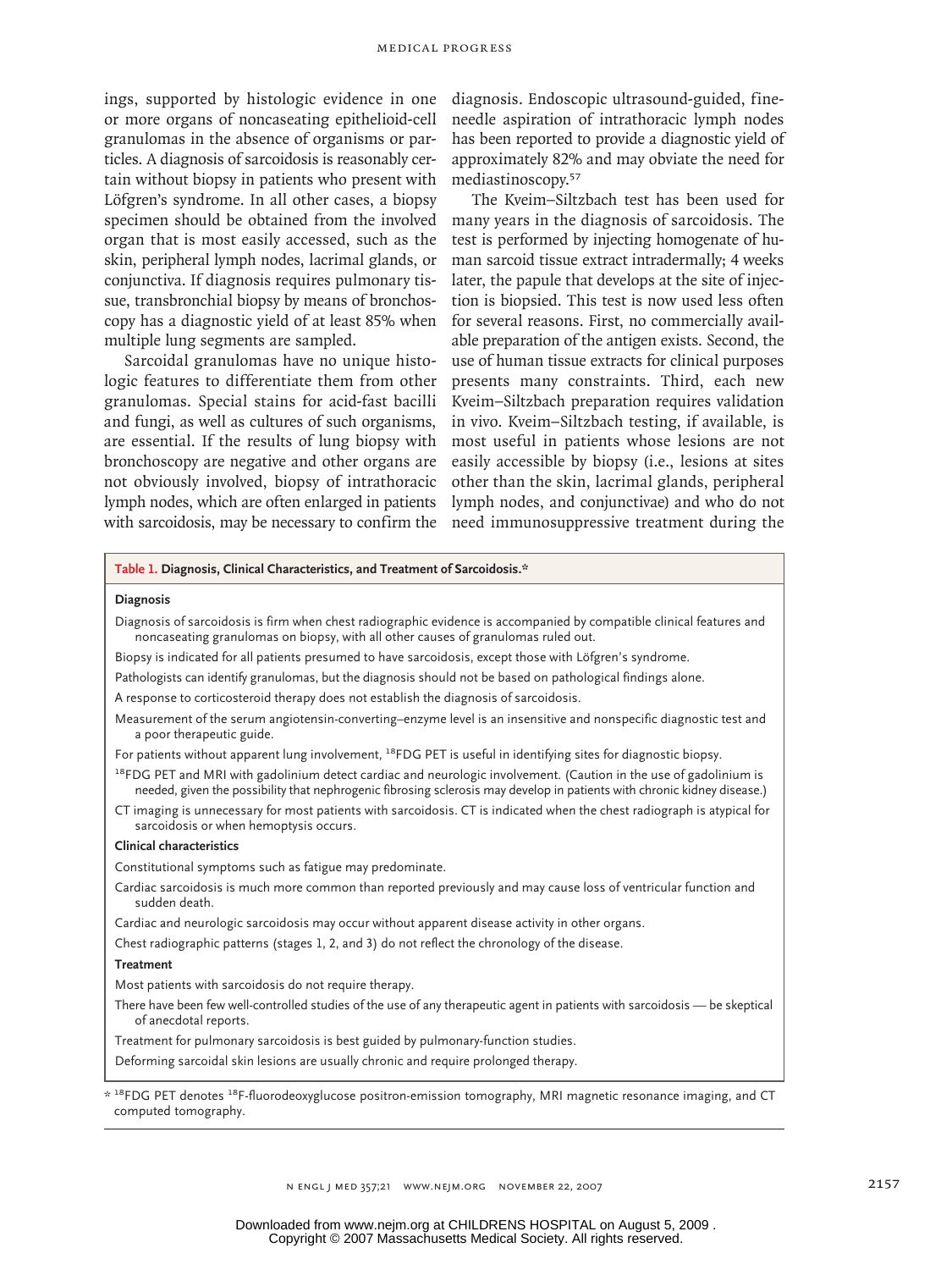ings, supported by histologic evidence in one or more organs of noncaseating epithelioid-cell granulomas in the absence of organisms or particles. A diagnosis of sarcoidosis is reasonably certain without biopsy in patients who present with Löfgren's syndrome. In all other cases, a biopsy specimen should be obtained from the involved organ that is most easily accessed, such as the skin, peripheral lymph nodes, lacrimal glands, or conjunctiva. If diagnosis requires pulmonary tissue, transbronchial biopsy by means of bronchoscopy has a diagnostic yield of at least 85% when multiple lung segments are sampled.

Sarcoidal granulomas have no unique histologic features to differentiate them from other granulomas. Special stains for acid-fast bacilli and fungi, as well as cultures of such organisms, are essential. If the results of lung biopsy with bronchoscopy are negative and other organs are not obviously involved, biopsy of intrathoracic lymph nodes, which are often enlarged in patients with sarcoidosis, may be necessary to confirm the diagnosis. Endoscopic ultrasound-guided, fineneedle aspiration of intrathoracic lymph nodes has been reported to provide a diagnostic yield of approximately 82% and may obviate the need for mediastinoscopy.<sup>57</sup>

The Kveim–Siltzbach test has been used for many years in the diagnosis of sarcoidosis. The test is performed by injecting homogenate of human sarcoid tissue extract intradermally; 4 weeks later, the papule that develops at the site of injection is biopsied. This test is now used less often for several reasons. First, no commercially available preparation of the antigen exists. Second, the use of human tissue extracts for clinical purposes presents many constraints. Third, each new Kveim–Siltzbach preparation requires validation in vivo. Kveim–Siltzbach testing, if available, is most useful in patients whose lesions are not easily accessible by biopsy (i.e., lesions at sites other than the skin, lacrimal glands, peripheral lymph nodes, and conjunctivae) and who do not need immunosuppressive treatment during the

# **Table 1. Diagnosis, Clinical Characteristics, and Treatment of Sarcoidosis.\***

#### **Diagnosis**

- Diagnosis of sarcoidosis is firm when chest radiographic evidence is accompanied by compatible clinical features and noncaseating granulomas on biopsy, with all other causes of granulomas ruled out.
- Biopsy is indicated for all patients presumed to have sarcoidosis, except those with Löfgren's syndrome.
- Pathologists can identify granulomas, but the diagnosis should not be based on pathological findings alone.

A response to corticosteroid therapy does not establish the diagnosis of sarcoidosis.

- Measurement of the serum angiotensin-converting–enzyme level is an insensitive and nonspecific diagnostic test and a poor therapeutic guide.
- For patients without apparent lung involvement, <sup>18</sup>FDG PET is useful in identifying sites for diagnostic biopsy.

<sup>18</sup>FDG PET and MRI with gadolinium detect cardiac and neurologic involvement. (Caution in the use of gadolinium is needed, given the possibility that nephrogenic fibrosing sclerosis may develop in patients with chronic kidney disease.)

CT imaging is unnecessary for most patients with sarcoidosis. CT is indicated when the chest radiograph is atypical for sarcoidosis or when hemoptysis occurs.

#### **Clinical characteristics**

Constitutional symptoms such as fatigue may predominate.

- Cardiac sarcoidosis is much more common than reported previously and may cause loss of ventricular function and sudden death.
- Cardiac and neurologic sarcoidosis may occur without apparent disease activity in other organs.
- Chest radiographic patterns (stages 1, 2, and 3) do not reflect the chronology of the disease.

#### **Treatment**

Most patients with sarcoidosis do not require therapy.

There have been few well-controlled studies of the use of any therapeutic agent in patients with sarcoidosis — be skeptical of anecdotal reports.

Treatment for pulmonary sarcoidosis is best guided by pulmonary-function studies.

Deforming sarcoidal skin lesions are usually chronic and require prolonged therapy.

 $*$  <sup>18</sup>FDG PET denotes <sup>18</sup>F-fluorodeoxyglucose positron-emission tomography, MRI magnetic resonance imaging, and CT computed tomography.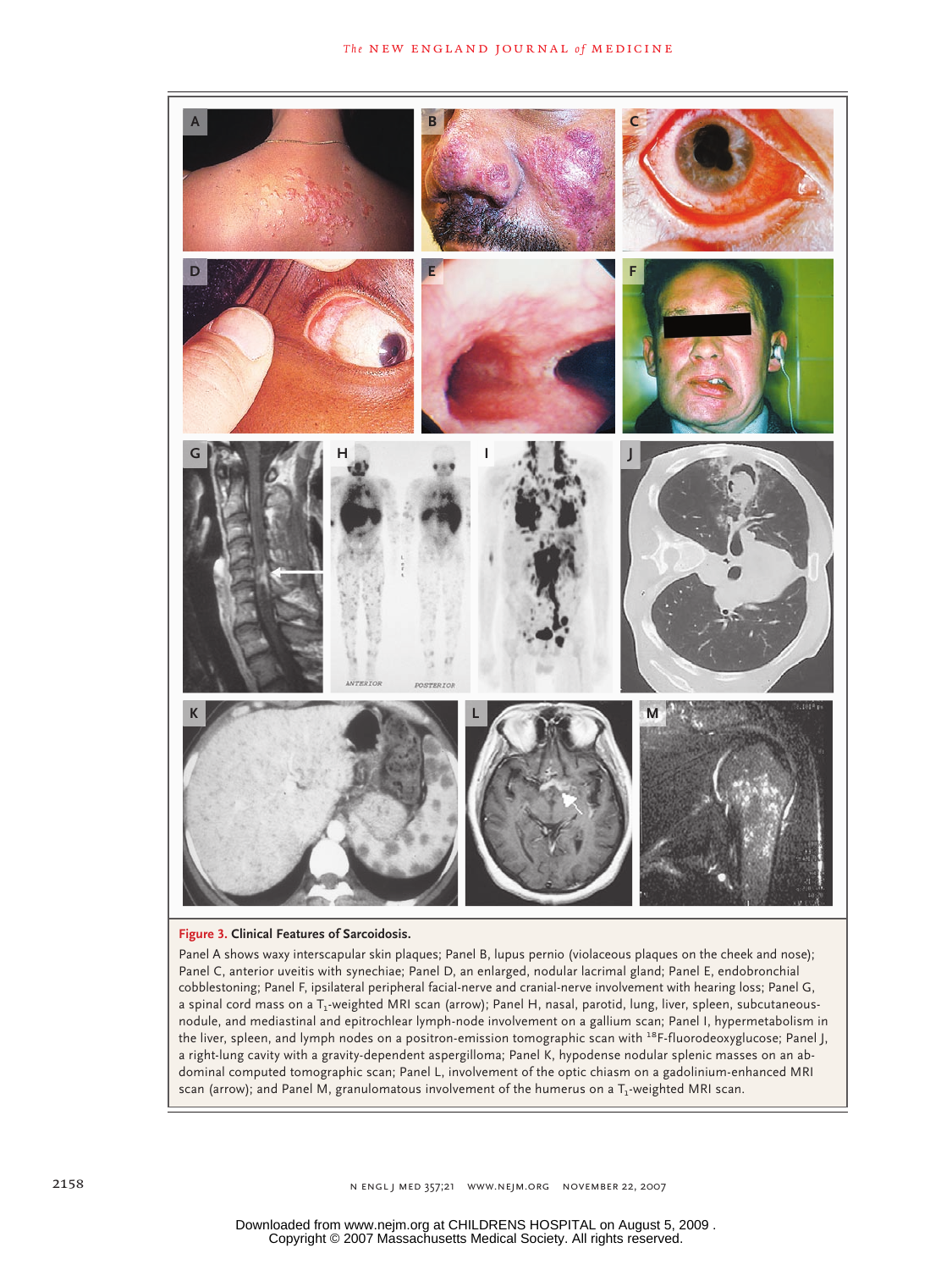

33p9 Combo FILL dominal computed tomographic scan; Panel L, involvement of the optic chiasm on a gadolinium-enhanced MRI cobblestoning; Panel F, ipsilateral peripheral facial-nerve and cranial-nerve involvement with hearing loss; Panel G, a spinal cord mass on a T1-weighted MRI scan (arrow); Panel H, nasal, parotid, lung, liver, spleen, subcutaneousthe liver, spleen, and lymph nodes on a positron-emission tomographic scan with <sup>18</sup>F-fluorodeoxyglucose; Panel J, artistic, spiech, and *finger nodes on a position emission temegraphic sean with the national splence, rane*<br>a right-lung cavity with a gravity-dependent aspergilloma; Panel K, hypodense nodular splenic masses on an aba spinal cold mass on a 11 weighted with sean (arrow), I alter 11, hasal, parolid, lang, livel, spiceli, sabculancous scan (arrow); and Panel M, granulomatous involvement of the humerus on a T<sub>1</sub>-weighted MRI scan. Panel A shows waxy interscapular skin plaques; Panel B, lupus pernio (violaceous plaques on the cheek and nose); Panel C, anterior uveitis with synechiae; Panel D, an enlarged, nodular lacrimal gland; Panel E, endobronchial

**Please check carefully.**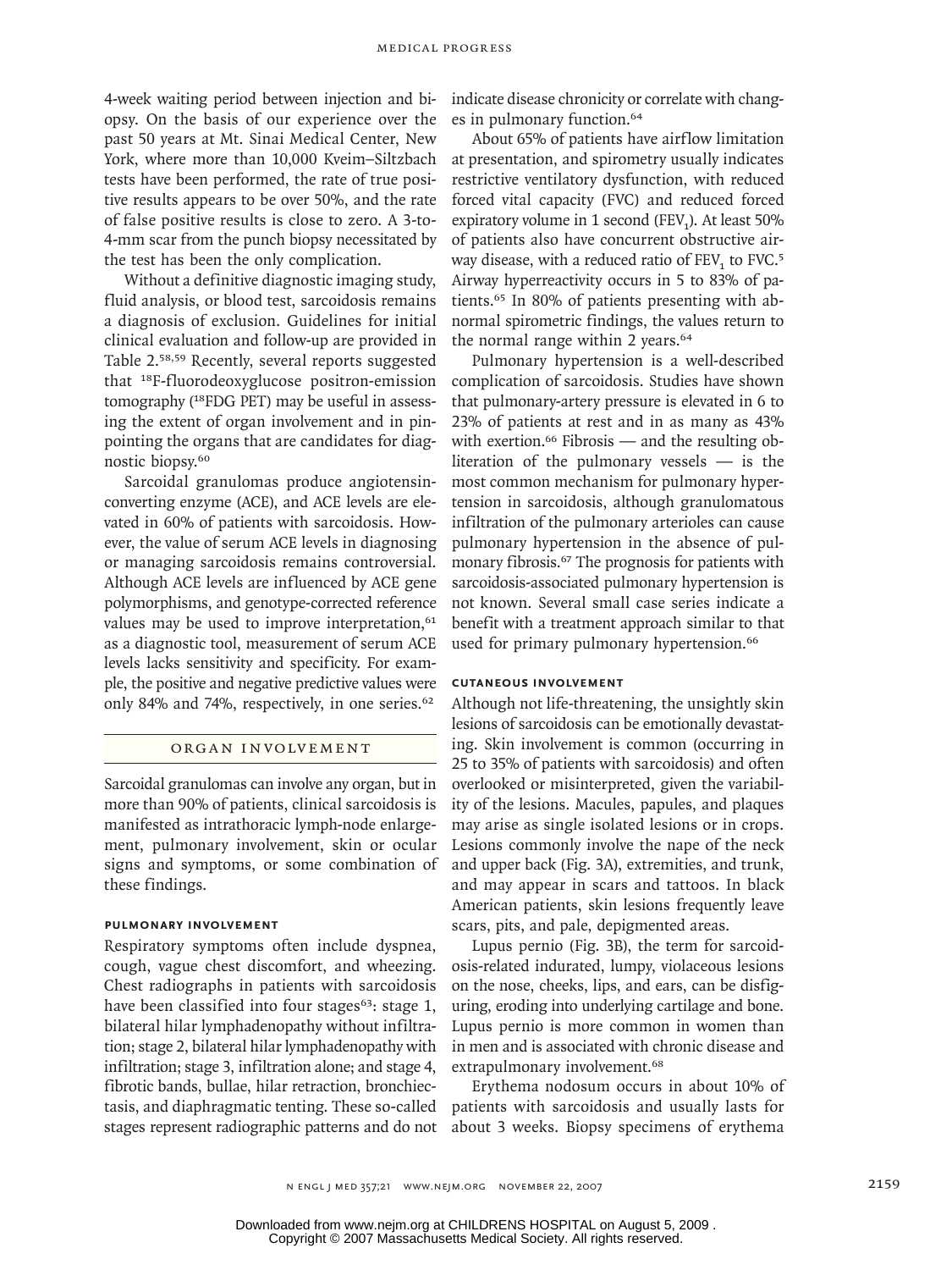4-week waiting period between injection and biopsy. On the basis of our experience over the past 50 years at Mt. Sinai Medical Center, New York, where more than 10,000 Kveim–Siltzbach tests have been performed, the rate of true positive results appears to be over 50%, and the rate of false positive results is close to zero. A 3-to-4-mm scar from the punch biopsy necessitated by the test has been the only complication.

Without a definitive diagnostic imaging study, fluid analysis, or blood test, sarcoidosis remains a diagnosis of exclusion. Guidelines for initial clinical evaluation and follow-up are provided in Table 2. 58,59 Recently, several reports suggested that <sup>18</sup>F-fluorodeoxyglucose positron-emission tomography ( <sup>18</sup>FDG PET) may be useful in assessing the extent of organ involvement and in pinpointing the organs that are candidates for diagnostic biopsy.<sup>60</sup>

Sarcoidal granulomas produce angiotensinconverting enzyme (ACE), and ACE levels are elevated in 60% of patients with sarcoidosis. However, the value of serum ACE levels in diagnosing or managing sarcoidosis remains controversial. Although ACE levels are influenced by ACE gene polymorphisms, and genotype-corrected reference values may be used to improve interpretation,<sup>61</sup> as a diagnostic tool, measurement of serum ACE levels lacks sensitivity and specificity. For example, the positive and negative predictive values were only 84% and 74%, respectively, in one series.<sup>62</sup>

# ORGAN INVOLVEMENT

Sarcoidal granulomas can involve any organ, but in more than 90% of patients, clinical sarcoidosis is manifested as intrathoracic lymph-node enlargement, pulmonary involvement, skin or ocular signs and symptoms, or some combination of these findings.

#### **Pulmonary Involvement**

Respiratory symptoms often include dyspnea, cough, vague chest discomfort, and wheezing. Chest radiographs in patients with sarcoidosis have been classified into four stages<sup>63</sup>: stage 1, bilateral hilar lymphadenopathy without infiltration; stage 2, bilateral hilar lymphadenopathy with infiltration; stage 3, infiltration alone; and stage 4, fibrotic bands, bullae, hilar retraction, bronchiectasis, and diaphragmatic tenting. These so-called stages represent radiographic patterns and do not indicate disease chronicity or correlate with changes in pulmonary function.<sup>64</sup>

About 65% of patients have airflow limitation at presentation, and spirometry usually indicates restrictive ventilatory dysfunction, with reduced forced vital capacity (FVC) and reduced forced expiratory volume in 1 second (FEV<sub>1</sub>). At least  $50\%$ of patients also have concurrent obstructive airway disease, with a reduced ratio of  $FEV<sub>1</sub>$  to  $FVC<sub>1</sub>$ <sup>5</sup> Airway hyperreactivity occurs in 5 to 83% of patients.<sup>65</sup> In 80% of patients presenting with abnormal spirometric findings, the values return to the normal range within 2 years.<sup>64</sup>

Pulmonary hypertension is a well-described complication of sarcoidosis. Studies have shown that pulmonary-artery pressure is elevated in 6 to 23% of patients at rest and in as many as 43% with exertion. $66$  Fibrosis — and the resulting obliteration of the pulmonary vessels — is the most common mechanism for pulmonary hypertension in sarcoidosis, although granulomatous infiltration of the pulmonary arterioles can cause pulmonary hypertension in the absence of pulmonary fibrosis.<sup>67</sup> The prognosis for patients with sarcoidosis-associated pulmonary hypertension is not known. Several small case series indicate a benefit with a treatment approach similar to that used for primary pulmonary hypertension.<sup>66</sup>

# **Cutaneous Involvement**

Although not life-threatening, the unsightly skin lesions of sarcoidosis can be emotionally devastating. Skin involvement is common (occurring in 25 to 35% of patients with sarcoidosis) and often overlooked or misinterpreted, given the variability of the lesions. Macules, papules, and plaques may arise as single isolated lesions or in crops. Lesions commonly involve the nape of the neck and upper back (Fig. 3A), extremities, and trunk, and may appear in scars and tattoos. In black American patients, skin lesions frequently leave scars, pits, and pale, depigmented areas.

Lupus pernio (Fig. 3B), the term for sarcoidosis-related indurated, lumpy, violaceous lesions on the nose, cheeks, lips, and ears, can be disfiguring, eroding into underlying cartilage and bone. Lupus pernio is more common in women than in men and is associated with chronic disease and extrapulmonary involvement.<sup>68</sup>

Erythema nodosum occurs in about 10% of patients with sarcoidosis and usually lasts for about 3 weeks. Biopsy specimens of erythema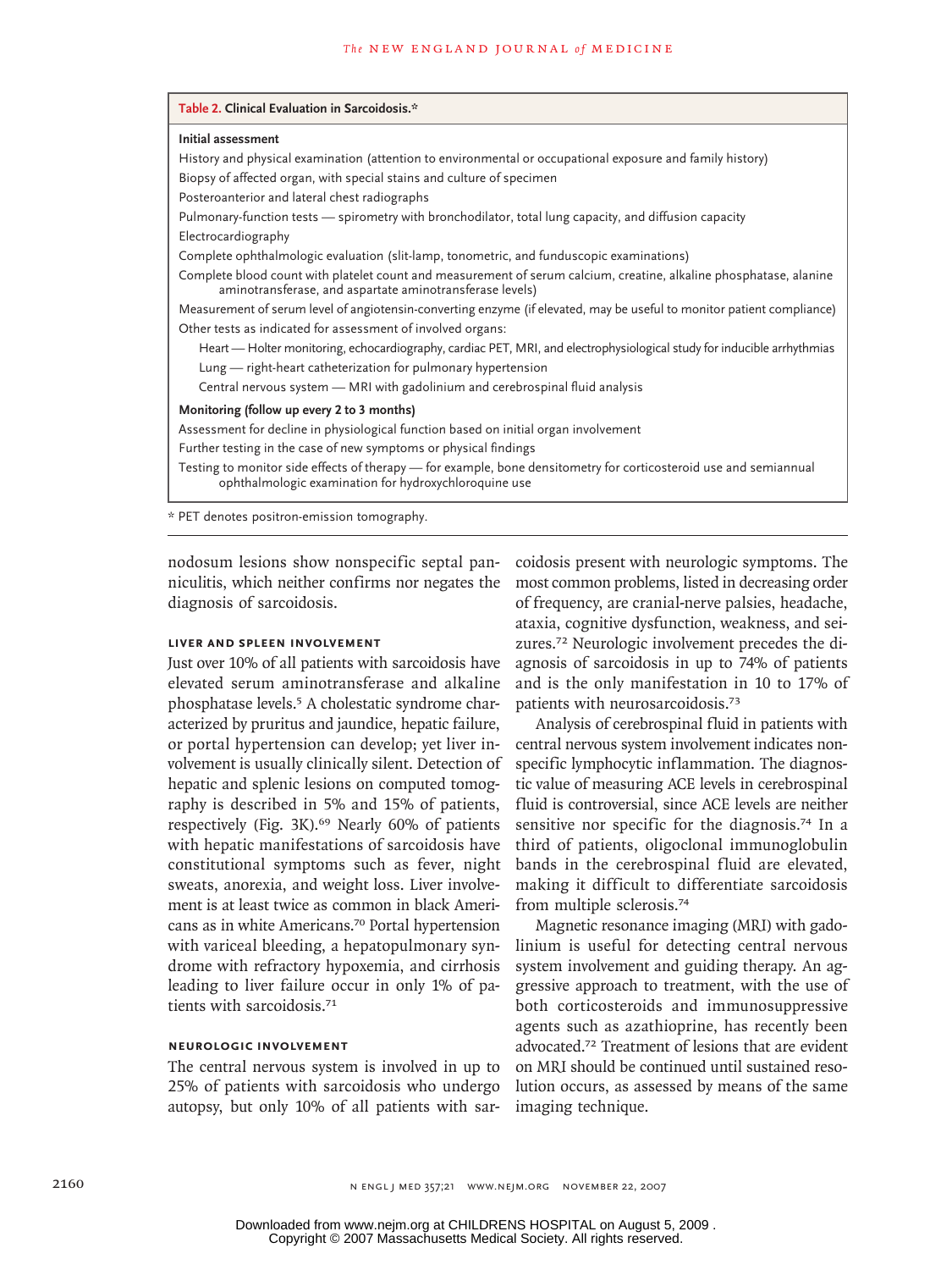| Table 2. Clinical Evaluation in Sarcoidosis.*                                                                                                                                  |  |  |  |
|--------------------------------------------------------------------------------------------------------------------------------------------------------------------------------|--|--|--|
| Initial assessment                                                                                                                                                             |  |  |  |
| History and physical examination (attention to environmental or occupational exposure and family history)                                                                      |  |  |  |
| Biopsy of affected organ, with special stains and culture of specimen                                                                                                          |  |  |  |
| Posteroanterior and lateral chest radiographs                                                                                                                                  |  |  |  |
| Pulmonary-function tests - spirometry with bronchodilator, total lung capacity, and diffusion capacity                                                                         |  |  |  |
| Electrocardiography                                                                                                                                                            |  |  |  |
| Complete ophthalmologic evaluation (slit-lamp, tonometric, and funduscopic examinations)                                                                                       |  |  |  |
| Complete blood count with platelet count and measurement of serum calcium, creatine, alkaline phosphatase, alanine<br>aminotransferase, and aspartate aminotransferase levels) |  |  |  |
| Measurement of serum level of angiotensin-converting enzyme (if elevated, may be useful to monitor patient compliance)                                                         |  |  |  |
| Other tests as indicated for assessment of involved organs:                                                                                                                    |  |  |  |
| Heart — Holter monitoring, echocardiography, cardiac PET, MRI, and electrophysiological study for inducible arrhythmias                                                        |  |  |  |
| Lung — right-heart catheterization for pulmonary hypertension                                                                                                                  |  |  |  |
| Central nervous system - MRI with gadolinium and cerebrospinal fluid analysis                                                                                                  |  |  |  |
| Monitoring (follow up every 2 to 3 months)                                                                                                                                     |  |  |  |
| Assessment for decline in physiological function based on initial organ involvement                                                                                            |  |  |  |
| Further testing in the case of new symptoms or physical findings                                                                                                               |  |  |  |
| Testing to monitor side effects of therapy - for example, bone densitometry for corticosteroid use and semiannual<br>ophthalmologic examination for hydroxychloroquine use     |  |  |  |

nodosum lesions show nonspecific septal panniculitis, which neither confirms nor negates the diagnosis of sarcoidosis.

# **Liver and Spleen Involvement**

Just over 10% of all patients with sarcoidosis have elevated serum aminotransferase and alkaline phosphatase levels.<sup>5</sup> A cholestatic syndrome characterized by pruritus and jaundice, hepatic failure, or portal hypertension can develop; yet liver involvement is usually clinically silent. Detection of hepatic and splenic lesions on computed tomography is described in 5% and 15% of patients, respectively (Fig. 3K).<sup>69</sup> Nearly 60% of patients with hepatic manifestations of sarcoidosis have constitutional symptoms such as fever, night sweats, anorexia, and weight loss. Liver involvement is at least twice as common in black Americans as in white Americans.<sup>70</sup> Portal hypertension with variceal bleeding, a hepatopulmonary syndrome with refractory hypoxemia, and cirrhosis leading to liver failure occur in only 1% of patients with sarcoidosis.<sup>71</sup>

# **Neurologic Involvement**

The central nervous system is involved in up to 25% of patients with sarcoidosis who undergo autopsy, but only 10% of all patients with sarcoidosis present with neurologic symptoms. The most common problems, listed in decreasing order of frequency, are cranial-nerve palsies, headache, ataxia, cognitive dysfunction, weakness, and seizures.<sup>72</sup> Neurologic involvement precedes the diagnosis of sarcoidosis in up to 74% of patients and is the only manifestation in 10 to 17% of patients with neurosarcoidosis.<sup>73</sup>

Analysis of cerebrospinal fluid in patients with central nervous system involvement indicates nonspecific lymphocytic inflammation. The diagnostic value of measuring ACE levels in cerebrospinal fluid is controversial, since ACE levels are neither sensitive nor specific for the diagnosis.<sup>74</sup> In a third of patients, oligoclonal immunoglobulin bands in the cerebrospinal fluid are elevated, making it difficult to differentiate sarcoidosis from multiple sclerosis.<sup>74</sup>

Magnetic resonance imaging (MRI) with gadolinium is useful for detecting central nervous system involvement and guiding therapy. An aggressive approach to treatment, with the use of both corticosteroids and immunosuppressive agents such as azathioprine, has recently been advocated.<sup>72</sup> Treatment of lesions that are evident on MRI should be continued until sustained resolution occurs, as assessed by means of the same imaging technique.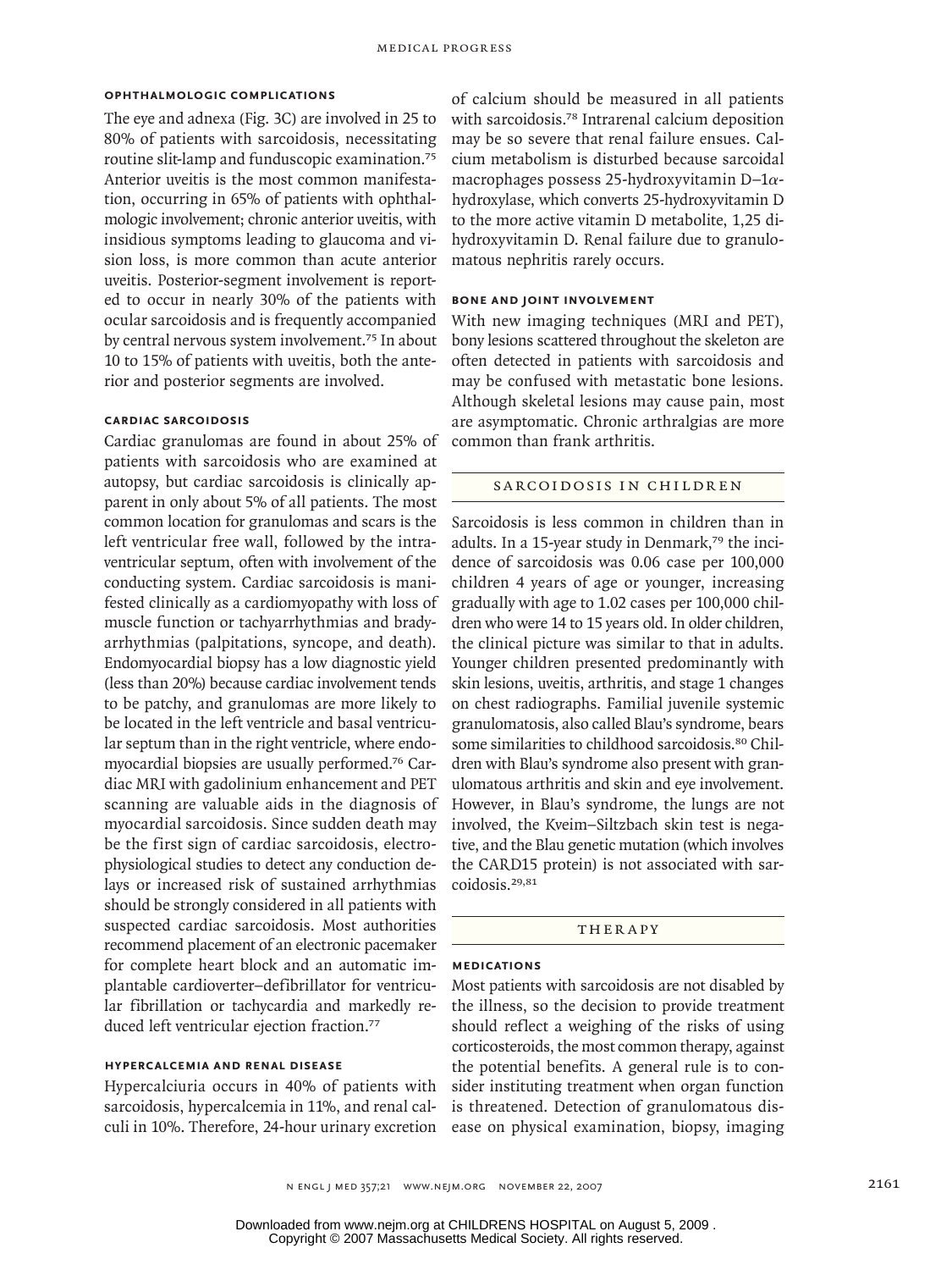# **Ophthalmologic Complications**

The eye and adnexa (Fig. 3C) are involved in 25 to 80% of patients with sarcoidosis, necessitating routine slit-lamp and funduscopic examination.<sup>75</sup> Anterior uveitis is the most common manifestation, occurring in 65% of patients with ophthalmologic involvement; chronic anterior uveitis, with insidious symptoms leading to glaucoma and vision loss, is more common than acute anterior uveitis. Posterior-segment involvement is reported to occur in nearly 30% of the patients with ocular sarcoidosis and is frequently accompanied by central nervous system involvement.<sup>75</sup> In about 10 to 15% of patients with uveitis, both the anterior and posterior segments are involved.

# **Cardiac Sarcoidosis**

Cardiac granulomas are found in about 25% of patients with sarcoidosis who are examined at autopsy, but cardiac sarcoidosis is clinically apparent in only about 5% of all patients. The most common location for granulomas and scars is the left ventricular free wall, followed by the intraventricular septum, often with involvement of the conducting system. Cardiac sarcoidosis is manifested clinically as a cardiomyopathy with loss of muscle function or tachyarrhythmias and bradyarrhythmias (palpitations, syncope, and death). Endomyocardial biopsy has a low diagnostic yield (less than 20%) because cardiac involvement tends to be patchy, and granulomas are more likely to be located in the left ventricle and basal ventricular septum than in the right ventricle, where endomyocardial biopsies are usually performed.<sup>76</sup> Cardiac MRI with gadolinium enhancement and PET scanning are valuable aids in the diagnosis of myocardial sarcoidosis. Since sudden death may be the first sign of cardiac sarcoidosis, electrophysiological studies to detect any conduction delays or increased risk of sustained arrhythmias should be strongly considered in all patients with suspected cardiac sarcoidosis. Most authorities recommend placement of an electronic pacemaker for complete heart block and an automatic implantable cardioverter–defibrillator for ventricular fibrillation or tachycardia and markedly reduced left ventricular ejection fraction.<sup>77</sup>

# **Hypercalcemia and Renal Disease**

Hypercalciuria occurs in 40% of patients with sarcoidosis, hypercalcemia in 11%, and renal calculi in 10%. Therefore, 24-hour urinary excretion of calcium should be measured in all patients with sarcoidosis.<sup>78</sup> Intrarenal calcium deposition may be so severe that renal failure ensues. Calcium metabolism is disturbed because sarcoidal macrophages possess 25-hydroxyvitamin D–1αhydroxylase, which converts 25-hydroxyvitamin D to the more active vitamin D metabolite, 1,25 dihydroxyvitamin D. Renal failure due to granulomatous nephritis rarely occurs.

# **Bone and Joint Involvement**

With new imaging techniques (MRI and PET), bony lesions scattered throughout the skeleton are often detected in patients with sarcoidosis and may be confused with metastatic bone lesions. Although skeletal lesions may cause pain, most are asymptomatic. Chronic arthralgias are more common than frank arthritis.

# SARCOIDOSIS IN CHILDREN

Sarcoidosis is less common in children than in adults. In a 15-year study in Denmark,<sup>79</sup> the incidence of sarcoidosis was 0.06 case per 100,000 children 4 years of age or younger, increasing gradually with age to 1.02 cases per 100,000 children who were 14 to 15 years old. In older children, the clinical picture was similar to that in adults. Younger children presented predominantly with skin lesions, uveitis, arthritis, and stage 1 changes on chest radiographs. Familial juvenile systemic granulomatosis, also called Blau's syndrome, bears some similarities to childhood sarcoidosis.<sup>80</sup> Children with Blau's syndrome also present with granulomatous arthritis and skin and eye involvement. However, in Blau's syndrome, the lungs are not involved, the Kveim–Siltzbach skin test is negative, and the Blau genetic mutation (which involves the CARD15 protein) is not associated with sarcoidosis.29,81

# THER A PY

#### **Medications**

Most patients with sarcoidosis are not disabled by the illness, so the decision to provide treatment should reflect a weighing of the risks of using corticosteroids, the most common therapy, against the potential benefits. A general rule is to consider instituting treatment when organ function is threatened. Detection of granulomatous disease on physical examination, biopsy, imaging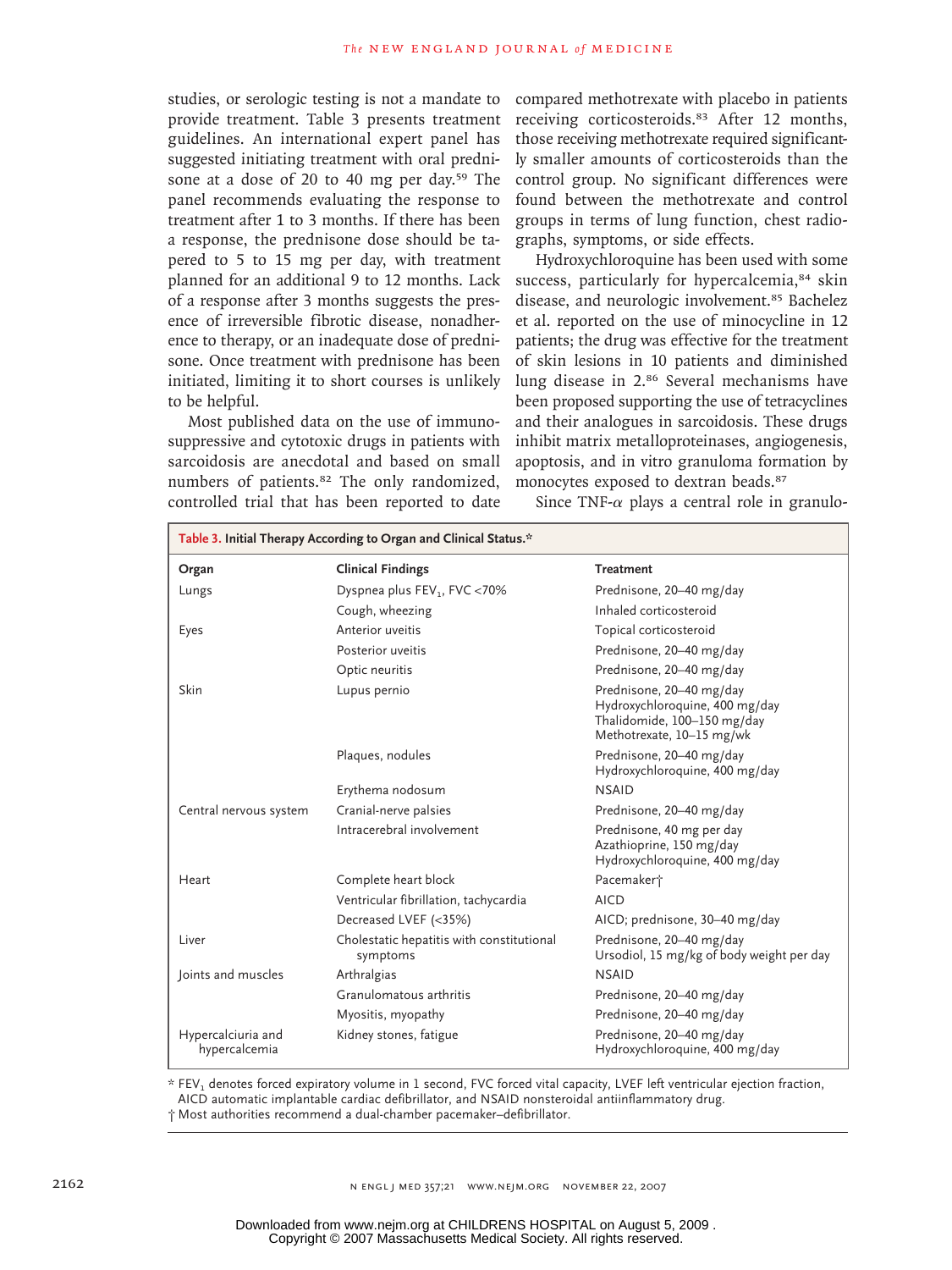studies, or serologic testing is not a mandate to provide treatment. Table 3 presents treatment guidelines. An international expert panel has suggested initiating treatment with oral prednisone at a dose of 20 to 40 mg per day.<sup>59</sup> The panel recommends evaluating the response to treatment after 1 to 3 months. If there has been a response, the prednisone dose should be tapered to 5 to 15 mg per day, with treatment planned for an additional 9 to 12 months. Lack of a response after 3 months suggests the presence of irreversible fibrotic disease, nonadherence to therapy, or an inadequate dose of prednisone. Once treatment with prednisone has been initiated, limiting it to short courses is unlikely to be helpful.

Most published data on the use of immunosuppressive and cytotoxic drugs in patients with sarcoidosis are anecdotal and based on small numbers of patients.<sup>82</sup> The only randomized, controlled trial that has been reported to date

compared methotrexate with placebo in patients receiving corticosteroids.<sup>83</sup> After 12 months, those receiving methotrexate required significantly smaller amounts of corticosteroids than the control group. No significant differences were found between the methotrexate and control groups in terms of lung function, chest radiographs, symptoms, or side effects.

Hydroxychloroquine has been used with some success, particularly for hypercalcemia,<sup>84</sup> skin disease, and neurologic involvement.<sup>85</sup> Bachelez et al. reported on the use of minocycline in 12 patients; the drug was effective for the treatment of skin lesions in 10 patients and diminished lung disease in 2.<sup>86</sup> Several mechanisms have been proposed supporting the use of tetracyclines and their analogues in sarcoidosis. These drugs inhibit matrix metalloproteinases, angiogenesis, apoptosis, and in vitro granuloma formation by monocytes exposed to dextran beads.<sup>87</sup>

Since TNF- $\alpha$  plays a central role in granulo-

| Table 3. Initial Therapy According to Organ and Clinical Status.* |                                                       |                                                                                                                        |  |
|-------------------------------------------------------------------|-------------------------------------------------------|------------------------------------------------------------------------------------------------------------------------|--|
| Organ                                                             | <b>Clinical Findings</b>                              | <b>Treatment</b>                                                                                                       |  |
| Lungs                                                             | Dyspnea plus FEV <sub>1</sub> , FVC <70%              | Prednisone, 20-40 mg/day                                                                                               |  |
|                                                                   | Cough, wheezing                                       | Inhaled corticosteroid                                                                                                 |  |
| Eyes                                                              | Anterior uveitis                                      | Topical corticosteroid                                                                                                 |  |
|                                                                   | Posterior uveitis                                     | Prednisone, 20-40 mg/day                                                                                               |  |
|                                                                   | Optic neuritis                                        | Prednisone, 20-40 mg/day                                                                                               |  |
| Skin                                                              | Lupus pernio                                          | Prednisone, 20-40 mg/day<br>Hydroxychloroquine, 400 mg/day<br>Thalidomide, 100-150 mg/day<br>Methotrexate, 10-15 mg/wk |  |
|                                                                   | Plaques, nodules                                      | Prednisone, 20-40 mg/day<br>Hydroxychloroquine, 400 mg/day                                                             |  |
|                                                                   | Erythema nodosum                                      | <b>NSAID</b>                                                                                                           |  |
| Central nervous system                                            | Cranial-nerve palsies                                 | Prednisone, 20–40 mg/day                                                                                               |  |
|                                                                   | Intracerebral involvement                             | Prednisone, 40 mg per day<br>Azathioprine, 150 mg/day<br>Hydroxychloroquine, 400 mg/day                                |  |
| Heart                                                             | Complete heart block                                  | Pacemaker <sup>+</sup>                                                                                                 |  |
|                                                                   | Ventricular fibrillation, tachycardia                 | <b>AICD</b>                                                                                                            |  |
|                                                                   | Decreased LVEF (<35%)                                 | AICD; prednisone, 30-40 mg/day                                                                                         |  |
| Liver                                                             | Cholestatic hepatitis with constitutional<br>symptoms | Prednisone, 20-40 mg/day<br>Ursodiol, 15 mg/kg of body weight per day                                                  |  |
| Joints and muscles                                                | Arthralgias                                           | <b>NSAID</b>                                                                                                           |  |
|                                                                   | Granulomatous arthritis                               | Prednisone, 20-40 mg/day                                                                                               |  |
|                                                                   | Myositis, myopathy                                    | Prednisone, 20-40 mg/day                                                                                               |  |
| Hypercalciuria and<br>hypercalcemia                               | Kidney stones, fatigue                                | Prednisone, 20-40 mg/day<br>Hydroxychloroquine, 400 mg/day                                                             |  |

\* FEV<sub>1</sub> denotes forced expiratory volume in 1 second, FVC forced vital capacity, LVEF left ventricular ejection fraction, AICD automatic implantable cardiac defibrillator, and NSAID nonsteroidal antiinflammatory drug. † Most authorities recommend a dual-chamber pacemaker–defibrillator.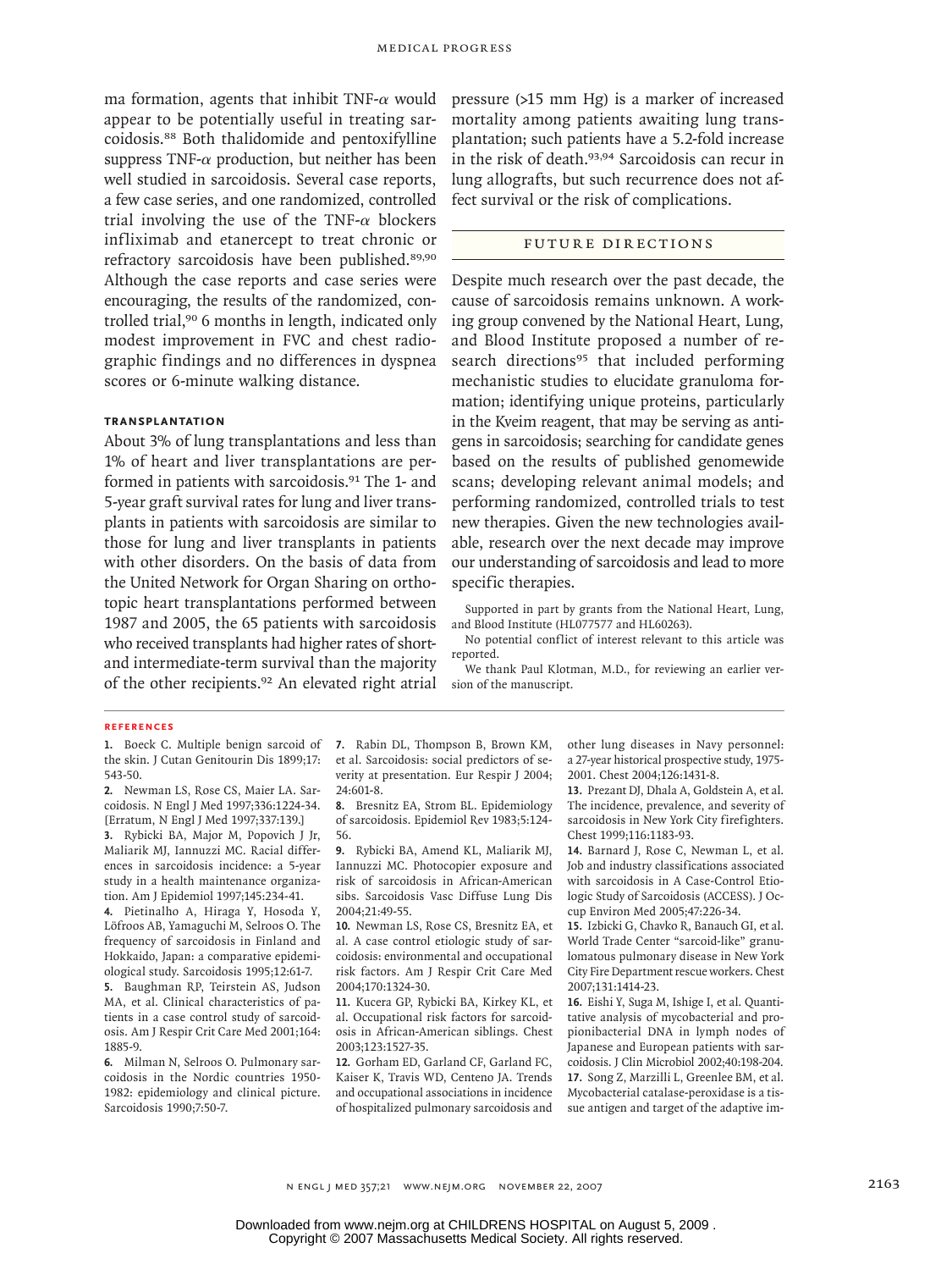ma formation, agents that inhibit TNF- $\alpha$  would appear to be potentially useful in treating sarcoidosis.<sup>88</sup> Both thalidomide and pentoxifylline suppress TNF- $\alpha$  production, but neither has been well studied in sarcoidosis. Several case reports, a few case series, and one randomized, controlled trial involving the use of the TNF- $\alpha$  blockers infliximab and etanercept to treat chronic or refractory sarcoidosis have been published.<sup>89,90</sup> Although the case reports and case series were encouraging, the results of the randomized, controlled trial,<sup>90</sup> 6 months in length, indicated only modest improvement in FVC and chest radiographic findings and no differences in dyspnea scores or 6-minute walking distance.

# **Transplantation**

About 3% of lung transplantations and less than 1% of heart and liver transplantations are performed in patients with sarcoidosis.<sup>91</sup> The 1- and 5-year graft survival rates for lung and liver transplants in patients with sarcoidosis are similar to those for lung and liver transplants in patients with other disorders. On the basis of data from the United Network for Organ Sharing on orthotopic heart transplantations performed between 1987 and 2005, the 65 patients with sarcoidosis who received transplants had higher rates of shortand intermediate-term survival than the majority of the other recipients.<sup>92</sup> An elevated right atrial pressure (>15 mm Hg) is a marker of increased mortality among patients awaiting lung transplantation; such patients have a 5.2-fold increase in the risk of death.93,94 Sarcoidosis can recur in lung allografts, but such recurrence does not affect survival or the risk of complications.

## FUTURE DIRECTIONS

Despite much research over the past decade, the cause of sarcoidosis remains unknown. A working group convened by the National Heart, Lung, and Blood Institute proposed a number of research directions<sup>95</sup> that included performing mechanistic studies to elucidate granuloma formation; identifying unique proteins, particularly in the Kveim reagent, that may be serving as antigens in sarcoidosis; searching for candidate genes based on the results of published genomewide scans; developing relevant animal models; and performing randomized, controlled trials to test new therapies. Given the new technologies available, research over the next decade may improve our understanding of sarcoidosis and lead to more specific therapies.

Supported in part by grants from the National Heart, Lung, and Blood Institute (HL077577 and HL60263).

No potential conflict of interest relevant to this article was reported.

We thank Paul Klotman, M.D., for reviewing an earlier version of the manuscript.

#### **References**

1. Boeck C. Multiple benign sarcoid of the skin. J Cutan Genitourin Dis 1899;17: 543-50.

2. Newman LS, Rose CS, Maier LA. Sarcoidosis. N Engl J Med 1997;336:1224-34. [Erratum, N Engl J Med 1997;337:139.] Rybicki BA, Major M, Popovich J Jr, **3.** Maliarik MJ, Iannuzzi MC. Racial differences in sarcoidosis incidence: a 5-year study in a health maintenance organization. Am J Epidemiol 1997;145:234-41.

Pietinalho A, Hiraga Y, Hosoda Y, **4.** Löfroos AB, Yamaguchi M, Selroos O. The frequency of sarcoidosis in Finland and Hokkaido, Japan: a comparative epidemiological study. Sarcoidosis 1995;12:61-7. 5. Baughman RP, Teirstein AS, Judson MA, et al. Clinical characteristics of patients in a case control study of sarcoid-

osis. Am J Respir Crit Care Med 2001;164: 1885-9.

Milman N, Selroos O. Pulmonary sar-**6.** coidosis in the Nordic countries 1950- 1982: epidemiology and clinical picture. Sarcoidosis 1990;7:50-7.

7. Rabin DL, Thompson B, Brown KM, et al. Sarcoidosis: social predictors of severity at presentation. Eur Respir J 2004; 24:601-8.

Bresnitz EA, Strom BL. Epidemiology **8.** of sarcoidosis. Epidemiol Rev 1983;5:124- 56.

Rybicki BA, Amend KL, Maliarik MJ, **9.** Iannuzzi MC. Photocopier exposure and risk of sarcoidosis in African-American sibs. Sarcoidosis Vasc Diffuse Lung Dis 2004;21:49-55.

10. Newman LS, Rose CS, Bresnitz EA, et al. A case control etiologic study of sarcoidosis: environmental and occupational risk factors. Am J Respir Crit Care Med 2004;170:1324-30.

11. Kucera GP, Rybicki BA, Kirkey KL, et al. Occupational risk factors for sarcoidosis in African-American siblings. Chest 2003;123:1527-35.

12. Gorham ED, Garland CF, Garland FC, Kaiser K, Travis WD, Centeno JA. Trends and occupational associations in incidence of hospitalized pulmonary sarcoidosis and other lung diseases in Navy personnel: a 27-year historical prospective study, 1975- 2001. Chest 2004;126:1431-8.

13. Prezant DJ, Dhala A, Goldstein A, et al. The incidence, prevalence, and severity of sarcoidosis in New York City firefighters. Chest 1999;116:1183-93.

14. Barnard J, Rose C, Newman L, et al. Job and industry classifications associated with sarcoidosis in A Case-Control Etiologic Study of Sarcoidosis (ACCESS). J Occup Environ Med 2005;47:226-34.

15. Izbicki G, Chavko R, Banauch GI, et al. World Trade Center "sarcoid-like" granulomatous pulmonary disease in New York City Fire Department rescue workers. Chest 2007;131:1414-23.

16. Eishi Y, Suga M, Ishige I, et al. Quantitative analysis of mycobacterial and propionibacterial DNA in lymph nodes of Japanese and European patients with sarcoidosis. J Clin Microbiol 2002;40:198-204. 17. Song Z, Marzilli L, Greenlee BM, et al. Mycobacterial catalase-peroxidase is a tissue antigen and target of the adaptive im-

n engl j med 357;21 www.nejm.org november 22, 2007 2163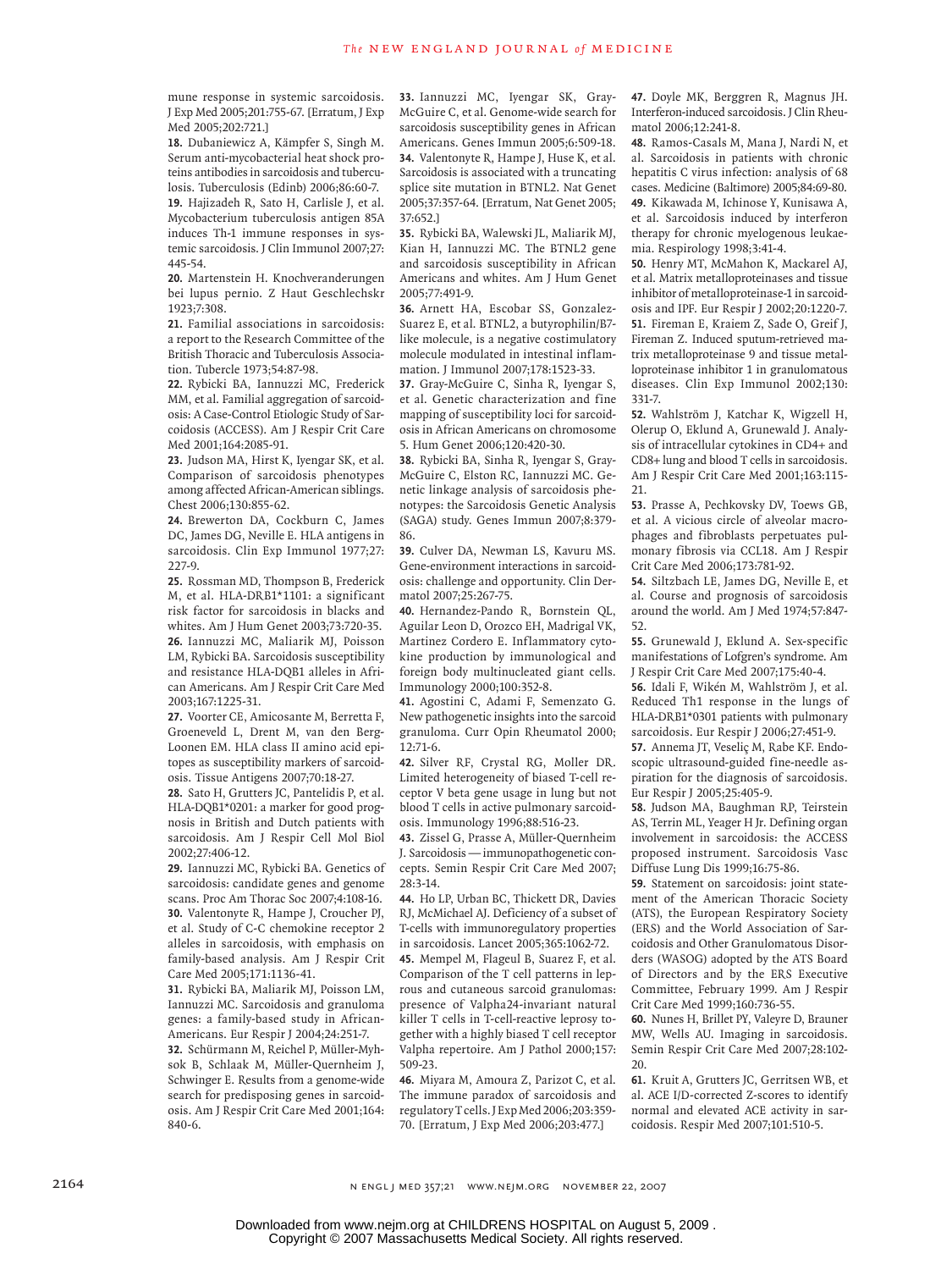mune response in systemic sarcoidosis. J Exp Med 2005;201:755-67. [Erratum, J Exp Med 2005;202:721.]

18. Dubaniewicz A, Kämpfer S, Singh M. Serum anti-mycobacterial heat shock proteins antibodies in sarcoidosis and tuberculosis. Tuberculosis (Edinb) 2006;86:60-7. 19. Hajizadeh R, Sato H, Carlisle J, et al. Mycobacterium tuberculosis antigen 85A induces Th-1 immune responses in systemic sarcoidosis. J Clin Immunol 2007;27: 445-54.

20. Martenstein H. Knochveranderungen bei lupus pernio. Z Haut Geschlechskr 1923;7:308.

Familial associations in sarcoidosis: **21.** a report to the Research Committee of the British Thoracic and Tuberculosis Association. Tubercle 1973;54:87-98.

22. Rybicki BA, Iannuzzi MC, Frederick MM, et al. Familial aggregation of sarcoidosis: A Case-Control Etiologic Study of Sarcoidosis (ACCESS). Am J Respir Crit Care Med 2001;164:2085-91.

23. Judson MA, Hirst K, Iyengar SK, et al. Comparison of sarcoidosis phenotypes among affected African-American siblings. Chest 2006;130:855-62.

24. Brewerton DA, Cockburn C, James DC, James DG, Neville E. HLA antigens in sarcoidosis. Clin Exp Immunol 1977;27: 227-9.

25. Rossman MD, Thompson B, Frederick M, et al. HLA-DRB1\*1101: a significant risk factor for sarcoidosis in blacks and whites. Am J Hum Genet 2003;73:720-35. Iannuzzi MC, Maliarik MJ, Poisson **26.** LM, Rybicki BA. Sarcoidosis susceptibility and resistance HLA-DQB1 alleles in African Americans. Am J Respir Crit Care Med 2003;167:1225-31.

27. Voorter CE, Amicosante M, Berretta F, Groeneveld L, Drent M, van den Berg-Loonen EM. HLA class II amino acid epitopes as susceptibility markers of sarcoidosis. Tissue Antigens 2007;70:18-27.

28. Sato H, Grutters JC, Pantelidis P, et al. HLA-DQB1\*0201: a marker for good prognosis in British and Dutch patients with sarcoidosis. Am J Respir Cell Mol Biol 2002;27:406-12.

29. Iannuzzi MC, Rybicki BA. Genetics of sarcoidosis: candidate genes and genome scans. Proc Am Thorac Soc 2007;4:108-16. 30. Valentonyte R, Hampe J, Croucher PJ, et al. Study of C-C chemokine receptor 2 alleles in sarcoidosis, with emphasis on family-based analysis. Am J Respir Crit Care Med 2005;171:1136-41.

31. Rybicki BA, Maliarik MJ, Poisson LM, Iannuzzi MC. Sarcoidosis and granuloma genes: a family-based study in African-Americans. Eur Respir J 2004;24:251-7.

Schürmann M, Reichel P, Müller-Myh-**32.** sok B, Schlaak M, Müller-Quernheim J, Schwinger E. Results from a genome-wide search for predisposing genes in sarcoidosis. Am J Respir Crit Care Med 2001;164: 840-6.

33. Iannuzzi MC, Iyengar SK, Gray-McGuire C, et al. Genome-wide search for sarcoidosis susceptibility genes in African Americans. Genes Immun 2005;6:509-18. 34. Valentonyte R, Hampe J, Huse K, et al. Sarcoidosis is associated with a truncating splice site mutation in BTNL2. Nat Genet 2005;37:357-64. [Erratum, Nat Genet 2005; 37:652.]

35. Rybicki BA, Walewski JL, Maliarik MJ, Kian H, Iannuzzi MC. The BTNL2 gene and sarcoidosis susceptibility in African Americans and whites. Am J Hum Genet 2005;77:491-9.

36. Arnett HA, Escobar SS, Gonzalez-Suarez E, et al. BTNL2, a butyrophilin/B7 like molecule, is a negative costimulatory molecule modulated in intestinal inflammation. J Immunol 2007;178:1523-33.

37. Gray-McGuire C, Sinha R, Iyengar S, et al. Genetic characterization and fine mapping of susceptibility loci for sarcoidosis in African Americans on chromosome 5. Hum Genet 2006;120:420-30.

38. Rybicki BA, Sinha R, Iyengar S, Gray-McGuire C, Elston RC, Iannuzzi MC. Genetic linkage analysis of sarcoidosis phenotypes: the Sarcoidosis Genetic Analysis (SAGA) study. Genes Immun 2007;8:379- 86.

39. Culver DA, Newman LS, Kavuru MS. Gene-environment interactions in sarcoidosis: challenge and opportunity. Clin Dermatol 2007;25:267-75.

40. Hernandez-Pando R, Bornstein QL, Aguilar Leon D, Orozco EH, Madrigal VK, Martinez Cordero E. Inflammatory cytokine production by immunological and foreign body multinucleated giant cells. Immunology 2000;100:352-8.

Agostini C, Adami F, Semenzato G. **41.** New pathogenetic insights into the sarcoid granuloma. Curr Opin Rheumatol 2000; 12:71-6.

42. Silver RF, Crystal RG, Moller DR. Limited heterogeneity of biased T-cell receptor V beta gene usage in lung but not blood T cells in active pulmonary sarcoidosis. Immunology 1996;88:516-23.

43. Zissel G, Prasse A, Müller-Quernheim J. Sarcoidosis — immunopathogenetic concepts. Semin Respir Crit Care Med 2007; 28:3-14.

44. Ho LP, Urban BC, Thickett DR, Davies RJ, McMichael AJ. Deficiency of a subset of T-cells with immunoregulatory properties in sarcoidosis. Lancet 2005;365:1062-72.

45. Mempel M, Flageul B, Suarez F, et al. Comparison of the T cell patterns in leprous and cutaneous sarcoid granulomas: presence of Valpha24-invariant natural killer T cells in T-cell-reactive leprosy together with a highly biased T cell receptor Valpha repertoire. Am J Pathol 2000;157: 509-23.

46. Miyara M, Amoura Z, Parizot C, et al. The immune paradox of sarcoidosis and regulatory T cells. J Exp Med 2006;203:359-70. [Erratum, J Exp Med 2006;203:477.]

47. Doyle MK, Berggren R, Magnus JH. Interferon-induced sarcoidosis. J Clin Rheumatol 2006;12:241-8.

Ramos-Casals M, Mana J, Nardi N, et **48.** al. Sarcoidosis in patients with chronic hepatitis C virus infection: analysis of 68 cases. Medicine (Baltimore) 2005;84:69-80. 49. Kikawada M, Ichinose Y, Kunisawa A, et al. Sarcoidosis induced by interferon therapy for chronic myelogenous leukaemia. Respirology 1998;3:41-4.

50. Henry MT, McMahon K, Mackarel AJ, et al. Matrix metalloproteinases and tissue inhibitor of metalloproteinase-1 in sarcoidosis and IPF. Eur Respir J 2002;20:1220-7. Fireman E, Kraiem Z, Sade O, Greif J, **51.** Fireman Z. Induced sputum-retrieved matrix metalloproteinase 9 and tissue metalloproteinase inhibitor 1 in granulomatous diseases. Clin Exp Immunol 2002;130: 331-7.

Wahlström J, Katchar K, Wigzell H, **52.** Olerup O, Eklund A, Grunewald J. Analysis of intracellular cytokines in CD4+ and CD8+ lung and blood T cells in sarcoidosis. Am J Respir Crit Care Med 2001;163:115- 21.

53. Prasse A, Pechkovsky DV, Toews GB, et al. A vicious circle of alveolar macrophages and fibroblasts perpetuates pulmonary fibrosis via CCL18. Am J Respir Crit Care Med 2006;173:781-92.

Siltzbach LE, James DG, Neville E, et **54.** al. Course and prognosis of sarcoidosis around the world. Am J Med 1974;57:847- 52.

55. Grunewald J, Eklund A. Sex-specific manifestations of Lofgren's syndrome. Am J Respir Crit Care Med 2007;175:40-4.

Idali F, Wikén M, Wahlström J, et al. **56.** Reduced Th1 response in the lungs of HLA-DRB1\*0301 patients with pulmonary sarcoidosis. Eur Respir J 2006;27:451-9.

57. Annema JT, Veseliç M, Rabe KF. Endoscopic ultrasound-guided fine-needle aspiration for the diagnosis of sarcoidosis. Eur Respir J 2005;25:405-9.

58. Judson MA, Baughman RP, Teirstein AS, Terrin ML, Yeager H Jr. Defining organ involvement in sarcoidosis: the ACCESS proposed instrument. Sarcoidosis Vasc Diffuse Lung Dis 1999;16:75-86.

Statement on sarcoidosis: joint state-**59.** ment of the American Thoracic Society (ATS), the European Respiratory Society (ERS) and the World Association of Sarcoidosis and Other Granulomatous Disorders (WASOG) adopted by the ATS Board of Directors and by the ERS Executive Committee, February 1999. Am J Respir Crit Care Med 1999;160:736-55.

60. Nunes H, Brillet PY, Valeyre D, Brauner MW, Wells AU. Imaging in sarcoidosis. Semin Respir Crit Care Med 2007;28:102-  $20<sub>2</sub>$ 

61. Kruit A, Grutters JC, Gerritsen WB, et al. ACE I/D-corrected Z-scores to identify normal and elevated ACE activity in sarcoidosis. Respir Med 2007;101:510-5.